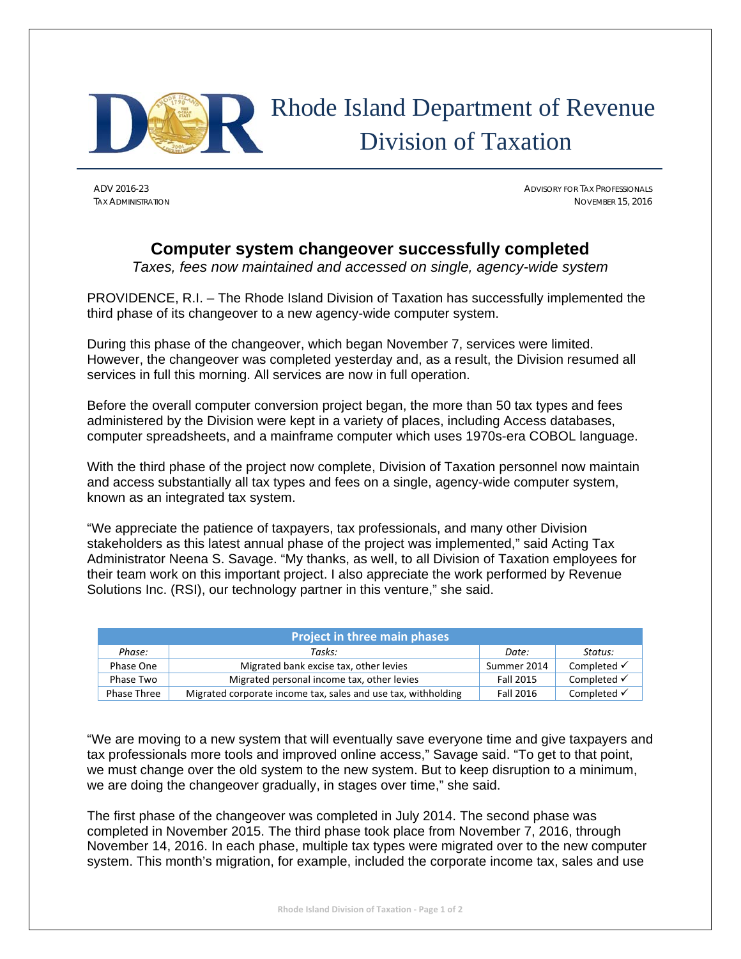

## Rhode Island Department of Revenue Division of Taxation

ADV 2016-23 ADVISORY FOR TAX PROFESSIONALS TAX ADMINISTRATION NOVEMBER 15, 2016

## **Computer system changeover successfully completed**

*Taxes, fees now maintained and accessed on single, agency-wide system* 

PROVIDENCE, R.I. – The Rhode Island Division of Taxation has successfully implemented the third phase of its changeover to a new agency-wide computer system.

During this phase of the changeover, which began November 7, services were limited. However, the changeover was completed yesterday and, as a result, the Division resumed all services in full this morning. All services are now in full operation.

Before the overall computer conversion project began, the more than 50 tax types and fees administered by the Division were kept in a variety of places, including Access databases, computer spreadsheets, and a mainframe computer which uses 1970s-era COBOL language.

With the third phase of the project now complete, Division of Taxation personnel now maintain and access substantially all tax types and fees on a single, agency-wide computer system, known as an integrated tax system.

"We appreciate the patience of taxpayers, tax professionals, and many other Division stakeholders as this latest annual phase of the project was implemented," said Acting Tax Administrator Neena S. Savage. "My thanks, as well, to all Division of Taxation employees for their team work on this important project. I also appreciate the work performed by Revenue Solutions Inc. (RSI), our technology partner in this venture," she said.

| <b>Project in three main phases</b> |                                                               |             |                        |
|-------------------------------------|---------------------------------------------------------------|-------------|------------------------|
| Phase:                              | Tasks:                                                        | Date:       | Status:                |
| Phase One                           | Migrated bank excise tax, other levies                        | Summer 2014 | Completed $\checkmark$ |
| Phase Two                           | Migrated personal income tax, other levies                    | Fall 2015   | Completed $\checkmark$ |
| Phase Three                         | Migrated corporate income tax, sales and use tax, withholding | Fall 2016   | Completed $\checkmark$ |

"We are moving to a new system that will eventually save everyone time and give taxpayers and tax professionals more tools and improved online access," Savage said. "To get to that point, we must change over the old system to the new system. But to keep disruption to a minimum, we are doing the changeover gradually, in stages over time," she said.

The first phase of the changeover was completed in July 2014. The second phase was completed in November 2015. The third phase took place from November 7, 2016, through November 14, 2016. In each phase, multiple tax types were migrated over to the new computer system. This month's migration, for example, included the corporate income tax, sales and use